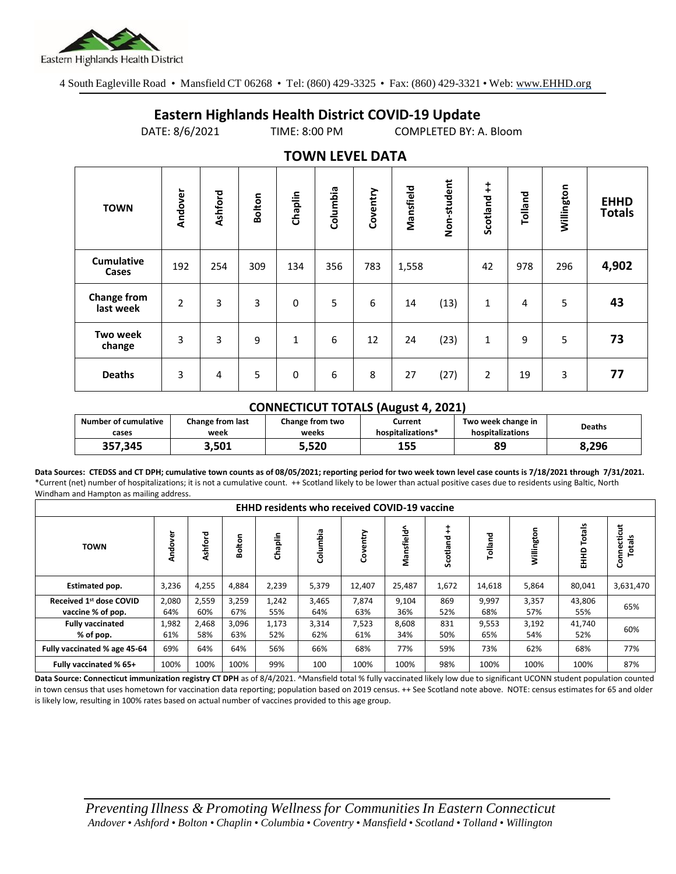

4 South Eagleville Road • Mansfield CT 06268 • Tel: (860) 429-3325 • Fax: (860) 429-3321 • Web: www.EHHD.org

## **Eastern Highlands Health District COVID-19 Update**

DATE: 8/6/2021 TIME: 8:00 PM COMPLETED BY: A. Bloom

| $19.111$ is the set of $17$     |                |         |               |              |          |          |           |             |                        |         |            |                              |
|---------------------------------|----------------|---------|---------------|--------------|----------|----------|-----------|-------------|------------------------|---------|------------|------------------------------|
| <b>TOWN</b>                     | Andover        | Ashford | <b>Bolton</b> | Chaplin      | Columbia | Coventry | Mansfield | Non-student | $\ddagger$<br>Scotland | Tolland | Willington | <b>EHHD</b><br><b>Totals</b> |
| <b>Cumulative</b><br>Cases      | 192            | 254     | 309           | 134          | 356      | 783      | 1,558     |             | 42                     | 978     | 296        | 4,902                        |
| <b>Change from</b><br>last week | $\overline{2}$ | 3       | 3             | $\mathbf 0$  | 5        | 6        | 14        | (13)        | 1                      | 4       | 5          | 43                           |
| <b>Two week</b><br>change       | 3              | 3       | 9             | $\mathbf{1}$ | 6        | 12       | 24        | (23)        | 1                      | 9       | 5          | 73                           |
| <b>Deaths</b>                   | 3              | 4       | 5             | $\mathbf 0$  | 6        | 8        | 27        | (27)        | $\overline{2}$         | 19      | 3          | 77                           |

## **TOWN LEVEL DATA**

## **CONNECTICUT TOTALS (August 4, 2021)**

| <b>Number of cumulative</b> | <b>Change from last</b> | Change from two | Current           | Two week change in | Deaths |  |
|-----------------------------|-------------------------|-----------------|-------------------|--------------------|--------|--|
| cases                       | week                    | weeks           | hospitalizations* | hospitalizations   |        |  |
| 357,345                     | 3.501                   | 5,520           | 155               | 89                 | 8.296  |  |

**Data Sources: CTEDSS and CT DPH; cumulative town counts as of 08/05/2021; reporting period for two week town level case counts is 7/18/2021 through 7/31/2021.** \*Current (net) number of hospitalizations; it is not a cumulative count. ++ Scotland likely to be lower than actual positive cases due to residents using Baltic, North Windham and Hampton as mailing address.

| <b>EHHD residents who received COVID-19 vaccine</b> |              |              |              |              |              |              |              |                   |              |              |                  |                      |
|-----------------------------------------------------|--------------|--------------|--------------|--------------|--------------|--------------|--------------|-------------------|--------------|--------------|------------------|----------------------|
| <b>TOWN</b>                                         | Andover      | Ashford      | olton<br>∞   | Chaplin      | Columbia     | Coventry     | Mansfield^   | ‡<br>힡<br>Scotlar | Tolland      | Willington   | Totals<br>요<br>표 | Connecticut<br>otals |
| Estimated pop.                                      | 3,236        | 4,255        | 4,884        | 2,239        | 5,379        | 12,407       | 25,487       | 1,672             | 14,618       | 5,864        | 80,041           | 3,631,470            |
| Received 1st dose COVID<br>vaccine % of pop.        | 2,080<br>64% | 2,559<br>60% | 3,259<br>67% | 1,242<br>55% | 3,465<br>64% | 7,874<br>63% | 9,104<br>36% | 869<br>52%        | 9,997<br>68% | 3,357<br>57% | 43,806<br>55%    | 65%                  |
| <b>Fully vaccinated</b><br>% of pop.                | 1,982<br>61% | 2,468<br>58% | 3,096<br>63% | 1,173<br>52% | 3,314<br>62% | 7,523<br>61% | 8,608<br>34% | 831<br>50%        | 9,553<br>65% | 3,192<br>54% | 41,740<br>52%    | 60%                  |
| Fully vaccinated % age 45-64                        | 69%          | 64%          | 64%          | 56%          | 66%          | 68%          | 77%          | 59%               | 73%          | 62%          | 68%              | 77%                  |
| Fully vaccinated % 65+                              | 100%         | 100%         | 100%         | 99%          | 100          | 100%         | 100%         | 98%               | 100%         | 100%         | 100%             | 87%                  |

Data Source: Connecticut immunization registry CT DPH as of 8/4/2021. ^Mansfield total % fully vaccinated likely low due to significant UCONN student population counted in town census that uses hometown for vaccination data reporting; population based on 2019 census. ++ See Scotland note above. NOTE: census estimates for 65 and older is likely low, resulting in 100% rates based on actual number of vaccines provided to this age group.